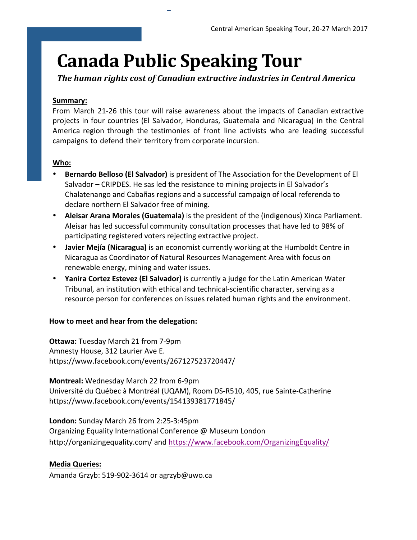# **Canada Public Speaking Tour**

1

The human rights cost of Canadian extractive industries in Central America

## **Summary:**

From March 21-26 this tour will raise awareness about the impacts of Canadian extractive projects in four countries (El Salvador, Honduras, Guatemala and Nicaragua) in the Central America region through the testimonies of front line activists who are leading successful campaigns to defend their territory from corporate incursion.

## **Who:**

- **Bernardo Belloso (El Salvador)** is president of The Association for the Development of El Salvador – CRIPDES. He sas led the resistance to mining projects in El Salvador's Chalatenango and Cabañas regions and a successful campaign of local referenda to declare northern El Salvador free of mining.
- **Aleisar Arana Morales (Guatemala)** is the president of the (indigenous) Xinca Parliament. Aleisar has led successful community consultation processes that have led to 98% of participating registered voters rejecting extractive project.
- Javier Mejía (Nicaragua) is an economist currently working at the Humboldt Centre in Nicaragua as Coordinator of Natural Resources Management Area with focus on renewable energy, mining and water issues.
- Yanira Cortez Estevez (El Salvador) is currently a judge for the Latin American Water Tribunal, an institution with ethical and technical-scientific character, serving as a resource person for conferences on issues related human rights and the environment.

### How to meet and hear from the delegation:

**Ottawa:** Tuesday March 21 from 7-9pm Amnesty House, 312 Laurier Ave E. https://www.facebook.com/events/267127523720447/

**Montreal:** Wednesday March 22 from 6-9pm Université du Québec à Montréal (UQAM), Room DS-R510, 405, rue Sainte-Catherine https://www.facebook.com/events/154139381771845/

**London:** Sunday March 26 from 2:25-3:45pm Organizing Equality International Conference @ Museum London http://organizingequality.com/ and https://www.facebook.com/OrganizingEquality/

# **Media Queries:**

Amanda Grzyb: 519-902-3614 or agrzyb@uwo.ca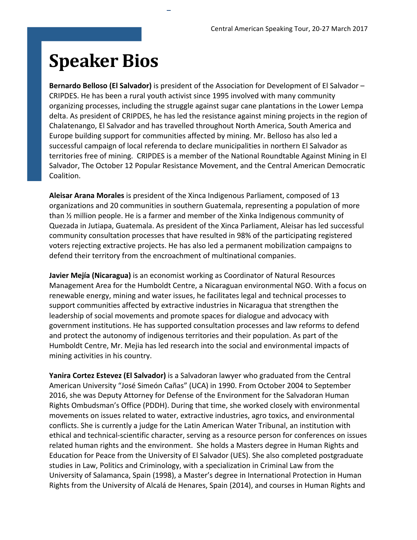# **Speaker Bios**

**Bernardo Belloso (El Salvador)** is president of the Association for Development of El Salvador – CRIPDES. He has been a rural youth activist since 1995 involved with many community organizing processes, including the struggle against sugar cane plantations in the Lower Lempa delta. As president of CRIPDES, he has led the resistance against mining projects in the region of Chalatenango, El Salvador and has travelled throughout North America, South America and Europe building support for communities affected by mining. Mr. Belloso has also led a successful campaign of local referenda to declare municipalities in northern El Salvador as territories free of mining. CRIPDES is a member of the National Roundtable Against Mining in El Salvador, The October 12 Popular Resistance Movement, and the Central American Democratic Coalition. 

2

**Aleisar Arana Morales** is president of the Xinca Indigenous Parliament, composed of 13 organizations and 20 communities in southern Guatemala, representing a population of more than  $\frac{1}{2}$  million people. He is a farmer and member of the Xinka Indigenous community of Quezada in Jutiapa, Guatemala. As president of the Xinca Parliament, Aleisar has led successful community consultation processes that have resulted in 98% of the participating registered voters rejecting extractive projects. He has also led a permanent mobilization campaigns to defend their territory from the encroachment of multinational companies.

**Javier Mejía (Nicaragua)** is an economist working as Coordinator of Natural Resources Management Area for the Humboldt Centre, a Nicaraguan environmental NGO. With a focus on renewable energy, mining and water issues, he facilitates legal and technical processes to support communities affected by extractive industries in Nicaragua that strengthen the leadership of social movements and promote spaces for dialogue and advocacy with government institutions. He has supported consultation processes and law reforms to defend and protect the autonomy of indigenous territories and their population. As part of the Humboldt Centre, Mr. Mejia has led research into the social and environmental impacts of mining activities in his country.

**Yanira Cortez Estevez (El Salvador)** is a Salvadoran lawyer who graduated from the Central American University "José Simeón Cañas" (UCA) in 1990. From October 2004 to September 2016, she was Deputy Attorney for Defense of the Environment for the Salvadoran Human Rights Ombudsman's Office (PDDH). During that time, she worked closely with environmental movements on issues related to water, extractive industries, agro toxics, and environmental conflicts. She is currently a judge for the Latin American Water Tribunal, an institution with ethical and technical-scientific character, serving as a resource person for conferences on issues related human rights and the environment. She holds a Masters degree in Human Rights and Education for Peace from the University of El Salvador (UES). She also completed postgraduate studies in Law, Politics and Criminology, with a specialization in Criminal Law from the University of Salamanca, Spain (1998), a Master's degree in International Protection in Human Rights from the University of Alcalá de Henares, Spain (2014), and courses in Human Rights and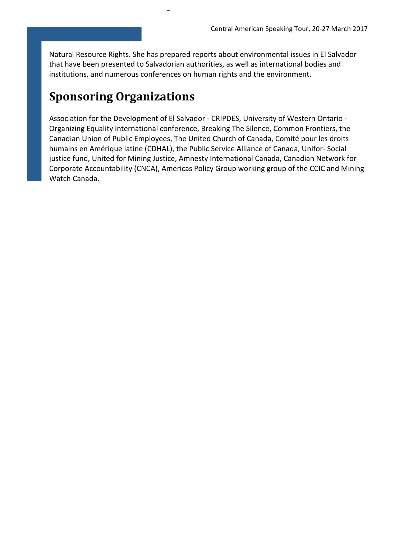Natural Resource Rights. She has prepared reports about environmental issues in El Salvador that have been presented to Salvadorian authorities, as well as international bodies and institutions, and numerous conferences on human rights and the environment.

 $\overline{a}$ 

# **Sponsoring Organizations**

Association for the Development of El Salvador - CRIPDES, University of Western Ontario -Organizing Equality international conference, Breaking The Silence, Common Frontiers, the Canadian Union of Public Employees, The United Church of Canada, Comité pour les droits humains en Amérique latine (CDHAL), the Public Service Alliance of Canada, Unifor- Social justice fund, United for Mining Justice, Amnesty International Canada, Canadian Network for Corporate Accountability (CNCA), Americas Policy Group working group of the CCIC and Mining Watch Canada.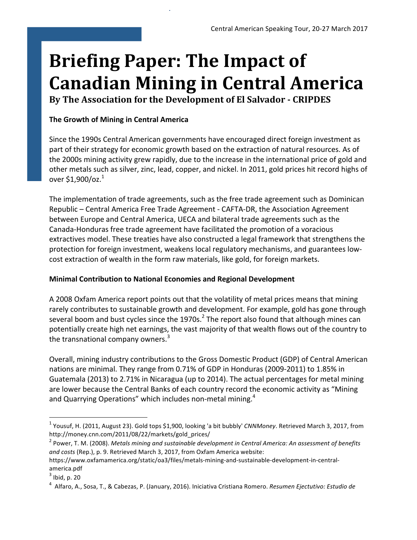# **Briefing Paper: The Impact of Canadian Mining in Central America**

By The Association for the Development of El Salvador - CRIPDES

4

# **The Growth of Mining in Central America**

Since the 1990s Central American governments have encouraged direct foreign investment as part of their strategy for economic growth based on the extraction of natural resources. As of the 2000s mining activity grew rapidly, due to the increase in the international price of gold and other metals such as silver, zinc, lead, copper, and nickel. In 2011, gold prices hit record highs of over  $$1,900$ /oz. $^{1}$ 

The implementation of trade agreements, such as the free trade agreement such as Dominican Republic – Central America Free Trade Agreement - CAFTA-DR, the Association Agreement between Europe and Central America, UECA and bilateral trade agreements such as the Canada-Honduras free trade agreement have facilitated the promotion of a voracious extractives model. These treaties have also constructed a legal framework that strengthens the protection for foreign investment, weakens local regulatory mechanisms, and guarantees lowcost extraction of wealth in the form raw materials, like gold, for foreign markets.

# **Minimal Contribution to National Economies and Regional Development**

A 2008 Oxfam America report points out that the volatility of metal prices means that mining rarely contributes to sustainable growth and development. For example, gold has gone through several boom and bust cycles since the 1970s.<sup>2</sup> The report also found that although mines can potentially create high net earnings, the vast majority of that wealth flows out of the country to the transnational company owners. $3$ 

Overall, mining industry contributions to the Gross Domestic Product (GDP) of Central American nations are minimal. They range from 0.71% of GDP in Honduras (2009-2011) to 1.85% in Guatemala (2013) to 2.71% in Nicaragua (up to 2014). The actual percentages for metal mining are lower because the Central Banks of each country record the economic activity as "Mining and Quarrying Operations" which includes non-metal mining.<sup>4</sup>

<sup>&</sup>lt;sup>1</sup> Yousuf, H. (2011, August 23). Gold tops \$1,900, looking 'a bit bubbly' *CNNMoney*. Retrieved March 3, 2017, from http://money.cnn.com/2011/08/22/markets/gold\_prices/ 

<sup>&</sup>lt;sup>2</sup> Power, T. M. (2008). *Metals mining and sustainable development in Central America: An assessment of benefits* and costs (Rep.), p. 9. Retrieved March 3, 2017, from Oxfam America website:

https://www.oxfamamerica.org/static/oa3/files/metals-mining-and-sustainable-development-in-centralamerica.pdf 

 $3$  Ibid, p. 20

<sup>&</sup>lt;sup>4</sup> Alfaro, A., Sosa, T., & Cabezas, P. (January, 2016). Iniciativa Cristiana Romero. *Resumen Ejectutivo: Estudio de*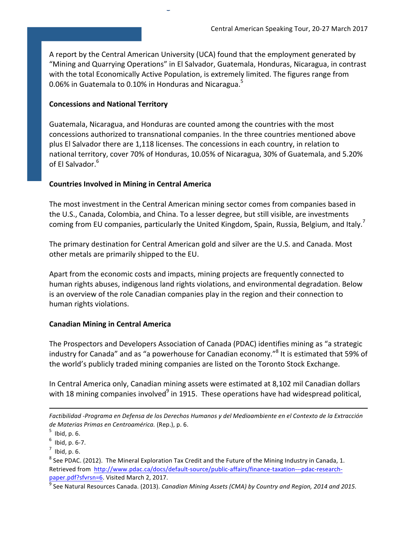A report by the Central American University (UCA) found that the employment generated by "Mining and Quarrying Operations" in El Salvador, Guatemala, Honduras, Nicaragua, in contrast with the total Economically Active Population, is extremely limited. The figures range from 0.06% in Guatemala to 0.10% in Honduras and Nicaragua. $5$ 

5

#### **Concessions and National Territory**

Guatemala, Nicaragua, and Honduras are counted among the countries with the most concessions authorized to transnational companies. In the three countries mentioned above plus El Salvador there are 1,118 licenses. The concessions in each country, in relation to national territory, cover 70% of Honduras, 10.05% of Nicaragua, 30% of Guatemala, and 5.20% of El Salvador.<sup>6</sup>

### **Countries Involved in Mining in Central America**

The most investment in the Central American mining sector comes from companies based in the U.S., Canada, Colombia, and China. To a lesser degree, but still visible, are investments coming from EU companies, particularly the United Kingdom, Spain, Russia, Belgium, and Italy.<sup>7</sup>

The primary destination for Central American gold and silver are the U.S. and Canada. Most other metals are primarily shipped to the EU.

Apart from the economic costs and impacts, mining projects are frequently connected to human rights abuses, indigenous land rights violations, and environmental degradation. Below is an overview of the role Canadian companies play in the region and their connection to human rights violations.

### **Canadian Mining in Central America**

The Prospectors and Developers Association of Canada (PDAC) identifies mining as "a strategic industry for Canada" and as "a powerhouse for Canadian economy."<sup>8</sup> It is estimated that 59% of the world's publicly traded mining companies are listed on the Toronto Stock Exchange.

In Central America only, Canadian mining assets were estimated at 8,102 mil Canadian dollars with 18 mining companies involved $^9$  in 1915. These operations have had widespread political,

<u> 1989 - Andrea Santa Andrea Andrea Andrea Andrea Andrea Andrea Andrea Andrea Andrea Andrea Andrea Andrea Andr</u>

*Factibilidad -Programa en Defensa de los Derechos Humanos y del Medioambiente en el Contexto de la Extracción de Materias Primas en Centroamérica.* (Rep.), p. 6.

 $^5$  Ibid, p. 6.

 $6$  Ibid, p. 6-7.

 $^7$  Ibid, p. 6.

 $8$  See PDAC. (2012). The Mineral Exploration Tax Credit and the Future of the Mining Industry in Canada, 1. Retrieved from http://www.pdac.ca/docs/default-source/public-affairs/finance-taxation---pdac-researchpaper.pdf?sfvrsn=6. Visited March 2, 2017.

<sup>9</sup> See Natural Resources Canada. (2013). *Canadian Mining Assets (CMA) by Country and Region, 2014 and 2015.*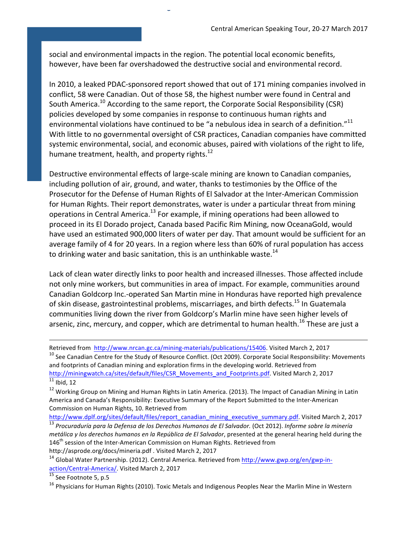social and environmental impacts in the region. The potential local economic benefits, however, have been far overshadowed the destructive social and environmental record.

6

In 2010, a leaked PDAC-sponsored report showed that out of 171 mining companies involved in conflict, 58 were Canadian. Out of those 58, the highest number were found in Central and South America.<sup>10</sup> According to the same report, the Corporate Social Responsibility (CSR) policies developed by some companies in response to continuous human rights and environmental violations have continued to be "a nebulous idea in search of a definition."<sup>11</sup> With little to no governmental oversight of CSR practices, Canadian companies have committed systemic environmental, social, and economic abuses, paired with violations of the right to life, humane treatment, health, and property rights. $^{12}$ 

Destructive environmental effects of large-scale mining are known to Canadian companies, including pollution of air, ground, and water, thanks to testimonies by the Office of the Prosecutor for the Defense of Human Rights of El Salvador at the Inter-American Commission for Human Rights. Their report demonstrates, water is under a particular threat from mining operations in Central America.<sup>13</sup> For example, if mining operations had been allowed to proceed in its El Dorado project, Canada based Pacific Rim Mining, now OceanaGold, would have used an estimated 900,000 liters of water per day. That amount would be sufficient for an average family of 4 for 20 years. In a region where less than 60% of rural population has access to drinking water and basic sanitation, this is an unthinkable waste. $^{14}$ 

Lack of clean water directly links to poor health and increased illnesses. Those affected include not only mine workers, but communities in area of impact. For example, communities around Canadian Goldcorp Inc.-operated San Martin mine in Honduras have reported high prevalence of skin disease, gastrointestinal problems, miscarriages, and birth defects.<sup>15</sup> In Guatemala communities living down the river from Goldcorp's Marlin mine have seen higher levels of arsenic, zinc, mercury, and copper, which are detrimental to human health.<sup>16</sup> These are just a

Retrieved from http://www.nrcan.gc.ca/mining-materials/publications/15406. Visited March 2, 2017

 $10$  See Canadian Centre for the Study of Resource Conflict. (Oct 2009). Corporate Social Responsibility: Movements and footprints of Canadian mining and exploration firms in the developing world. Retrieved from http://miningwatch.ca/sites/default/files/CSR\_Movements\_and\_Footprints.pdf. Visited March 2, 2017  $11$  Ibid, 12

<u> 1989 - Andrea Santa Andrea Andrea Andrea Andrea Andrea Andrea Andrea Andrea Andrea Andrea Andrea Andrea Andr</u>

http://www.dplf.org/sites/default/files/report\_canadian\_mining\_executive\_summary.pdf. Visited March 2, 2017 <sup>13</sup> Procuraduría para la Defensa de los Derechos Humanos de El Salvador. (Oct 2012). Informe sobre la minería *metálica* y los derechos humanos en la República de El Salvador, presented at the general hearing held during the  $146<sup>th</sup>$  session of the Inter-American Commission on Human Rights. Retrieved from

http://asprode.org/docs/mineria.pdf . Visited March 2, 2017

 $12$  Working Group on Mining and Human Rights in Latin America. (2013). The Impact of Canadian Mining in Latin America and Canada's Responsibility: Executive Summary of the Report Submitted to the Inter-American Commission on Human Rights, 10. Retrieved from

<sup>&</sup>lt;sup>14</sup> Global Water Partnership. (2012). Central America. Retrieved from http://www.gwp.org/en/gwp-inaction/Central-America/. Visited March 2, 2017

 $\frac{15}{15}$  See Footnote 5, p.5

<sup>&</sup>lt;sup>16</sup> Physicians for Human Rights (2010). Toxic Metals and Indigenous Peoples Near the Marlin Mine in Western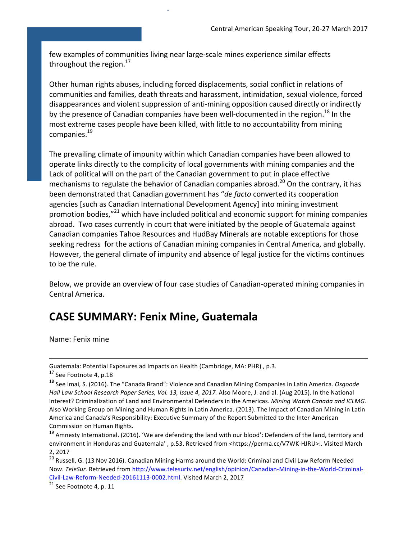few examples of communities living near large-scale mines experience similar effects throughout the region. $^{17}$ 

7

Other human rights abuses, including forced displacements, social conflict in relations of communities and families, death threats and harassment, intimidation, sexual violence, forced disappearances and violent suppression of anti-mining opposition caused directly or indirectly by the presence of Canadian companies have been well-documented in the region.<sup>18</sup> In the most extreme cases people have been killed, with little to no accountability from mining companies.<sup>19</sup>

The prevailing climate of impunity within which Canadian companies have been allowed to operate links directly to the complicity of local governments with mining companies and the Lack of political will on the part of the Canadian government to put in place effective mechanisms to regulate the behavior of Canadian companies abroad.<sup>20</sup> On the contrary, it has been demonstrated that Canadian government has "*de facto* converted its cooperation agencies [such as Canadian International Development Agency] into mining investment promotion bodies,"<sup>21</sup> which have included political and economic support for mining companies abroad. Two cases currently in court that were initiated by the people of Guatemala against Canadian companies Tahoe Resources and HudBay Minerals are notable exceptions for those seeking redress for the actions of Canadian mining companies in Central America, and globally. However, the general climate of impunity and absence of legal justice for the victims continues to be the rule.

Below, we provide an overview of four case studies of Canadian-operated mining companies in Central America.

# **CASE SUMMARY: Fenix Mine, Guatemala**

Name: Fenix mine

 

 $\sqrt[21]{21}$  See Footnote 4, p. 11

Guatemala: Potential Exposures ad Impacts on Health (Cambridge, MA: PHR), p.3.

 $17$  See Footnote 4, p.18

<sup>&</sup>lt;sup>18</sup> See Imai, S. (2016). The "Canada Brand": Violence and Canadian Mining Companies in Latin America. *Osgoode Hall Law School Research Paper Series, Vol. 13, Issue 4, 2017.* Also Moore, J. and al. (Aug 2015). In the National Interest? Criminalization of Land and Environmental Defenders in the Americas. *Mining Watch Canada and ICLMG.* Also Working Group on Mining and Human Rights in Latin America. (2013). The Impact of Canadian Mining in Latin America and Canada's Responsibility: Executive Summary of the Report Submitted to the Inter-American Commission on Human Rights.

 $19$  Amnesty International. (2016). 'We are defending the land with our blood': Defenders of the land, territory and environment in Honduras and Guatemala', p.53. Retrieved from <https://perma.cc/V7WK-HJRU>:. Visited March 2, 2017

 $^{20}$  Russell, G. (13 Nov 2016). Canadian Mining Harms around the World: Criminal and Civil Law Reform Needed Now. TeleSur. Retrieved from http://www.telesurtv.net/english/opinion/Canadian-Mining-in-the-World-Criminal-Civil-Law-Reform-Needed-20161113-0002.html. Visited March 2, 2017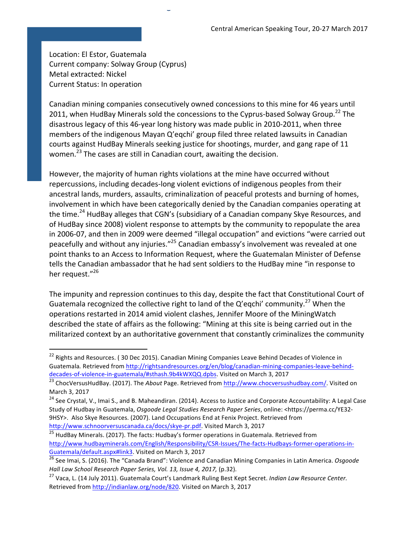Location: El Estor, Guatemala Current company: Solway Group (Cyprus) Metal extracted: Nickel Current Status: In operation

 

Canadian mining companies consecutively owned concessions to this mine for 46 years until 2011, when HudBay Minerals sold the concessions to the Cyprus-based Solway Group.<sup>22</sup> The disastrous legacy of this 46-year long history was made public in 2010-2011, when three members of the indigenous Mayan Q'eqchi' group filed three related lawsuits in Canadian courts against HudBay Minerals seeking justice for shootings, murder, and gang rape of 11 women.<sup>23</sup> The cases are still in Canadian court, awaiting the decision.

 $\ddot{\phantom{0}}$ 

However, the majority of human rights violations at the mine have occurred without repercussions, including decades-long violent evictions of indigenous peoples from their ancestral lands, murders, assaults, criminalization of peaceful protests and burning of homes, involvement in which have been categorically denied by the Canadian companies operating at the time.<sup>24</sup> HudBay alleges that CGN's (subsidiary of a Canadian company Skye Resources, and of HudBay since 2008) violent response to attempts by the community to repopulate the area in 2006-07, and then in 2009 were deemed "illegal occupation" and evictions "were carried out peacefully and without any injuries."<sup>25</sup> Canadian embassy's involvement was revealed at one point thanks to an Access to Information Request, where the Guatemalan Minister of Defense tells the Canadian ambassador that he had sent soldiers to the HudBay mine "in response to her request. $"^{26}$ 

The impunity and repression continues to this day, despite the fact that Constitutional Court of Guatemala recognized the collective right to land of the Q'eqchi' community.<sup>27</sup> When the operations restarted in 2014 amid violent clashes, Jennifer Moore of the MiningWatch described the state of affairs as the following: "Mining at this site is being carried out in the militarized context by an authoritative government that constantly criminalizes the community

<sup>&</sup>lt;sup>22</sup> Rights and Resources. ( 30 Dec 2015). Canadian Mining Companies Leave Behind Decades of Violence in Guatemala. Retrieved from http://rightsandresources.org/en/blog/canadian-mining-companies-leave-behinddecades-of-violence-in-guatemala/#sthash.9b4kWXQQ.dpbs. Visited on March 3, 2017

<sup>&</sup>lt;sup>23</sup> ChocVersusHudBay. (2017). The *About* Page. Retrieved from http://www.chocversushudbay.com/. Visited on March 3, 2017

<sup>&</sup>lt;sup>24</sup> See Crystal, V., Imai S., and B. Maheandiran. (2014). Access to Justice and Corporate Accountability: A Legal Case Study of Hudbay in Guatemala, Osgoode Legal Studies Research Paper Series, online: <https://perma.cc/YE32-9HSY>. Also Skye Resources. (2007). Land Occupations End at Fenix Project. Retrieved from http://www.schnoorversuscanada.ca/docs/skye-pr.pdf. Visited March 3, 2017

<sup>&</sup>lt;sup>25</sup> HudBay Minerals. (2017). The facts: Hudbay's former operations in Guatemala. Retrieved from http://www.hudbayminerals.com/English/Responsibility/CSR-Issues/The-facts-Hudbays-former-operations-in-Guatemala/default.aspx#link3. Visited on March 3, 2017

<sup>&</sup>lt;sup>26</sup> See Imai, S. (2016). The "Canada Brand": Violence and Canadian Mining Companies in Latin America. *Osgoode* Hall Law School Research Paper Series, Vol. 13, Issue 4, 2017, (p.32).

<sup>&</sup>lt;sup>27</sup> Vaca, L. (14 July 2011). Guatemala Court's Landmark Ruling Best Kept Secret. *Indian Law Resource Center*. Retrieved from http://indianlaw.org/node/820. Visited on March 3, 2017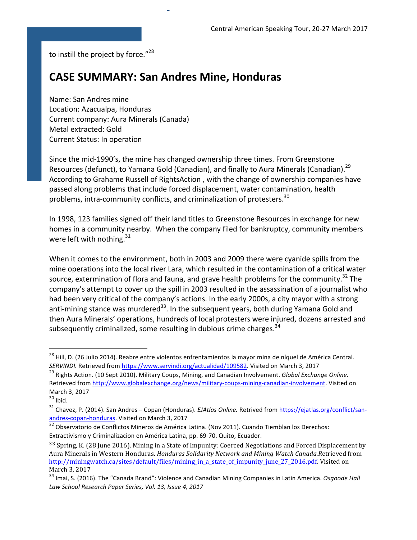to instill the project by force."<sup>28</sup>

# **CASE SUMMARY: San Andres Mine, Honduras**

.<br>ب

Name: San Andres mine Location: Azacualpa, Honduras Current company: Aura Minerals (Canada) Metal extracted: Gold Current Status: In operation

Since the mid-1990's, the mine has changed ownership three times. From Greenstone Resources (defunct), to Yamana Gold (Canadian), and finally to Aura Minerals (Canadian).<sup>29</sup> According to Grahame Russell of RightsAction, with the change of ownership companies have passed along problems that include forced displacement, water contamination, health problems, intra-community conflicts, and criminalization of protesters.<sup>30</sup>

In 1998, 123 families signed off their land titles to Greenstone Resources in exchange for new homes in a community nearby. When the company filed for bankruptcy, community members were left with nothing. $31$ 

When it comes to the environment, both in 2003 and 2009 there were cyanide spills from the mine operations into the local river Lara, which resulted in the contamination of a critical water source, extermination of flora and fauna, and grave health problems for the community.<sup>32</sup> The company's attempt to cover up the spill in 2003 resulted in the assassination of a journalist who had been very critical of the company's actions. In the early 2000s, a city mayor with a strong anti-mining stance was murdered<sup>33</sup>. In the subsequent years, both during Yamana Gold and then Aura Minerals' operations, hundreds of local protesters were injured, dozens arrested and subsequently criminalized, some resulting in dubious crime charges.<sup>34</sup>

<sup>&</sup>lt;sup>28</sup> Hill, D. (26 Julio 2014). Reabre entre violentos enfrentamientos la mayor mina de níquel de América Central. SERVINDI. Retrieved from https://www.servindi.org/actualidad/109582. Visited on March 3, 2017

<sup>&</sup>lt;sup>29</sup> Rights Action. (10 Sept 2010). Military Coups, Mining, and Canadian Involvement. *Global Exchange Online.* Retrieved from http://www.globalexchange.org/news/military-coups-mining-canadian-involvement. Visited on March 3, 2017

 $30$  Ibid.

<sup>&</sup>lt;sup>31</sup> Chavez, P. (2014). San Andres – Copan (Honduras). *EJAtlas Online*. Retrived from https://ejatlas.org/conflict/sanandres-copan-honduras. Visited on March 3, 2017

 $32$  Observatorio de Conflictos Mineros de América Latina. (Nov 2011). Cuando Tiemblan los Derechos: Extractivismo y Criminalizacion en América Latina, pp. 69-70. Quito, Ecuador.

 $33$  Spring, K. (28 June 2016). Mining in a State of Impunity: Coerced Negotiations and Forced Displacement by Aura Minerals in Western Honduras. *Honduras Solidarity Network and Mining Watch Canada.Retrieved from* http://miningwatch.ca/sites/default/files/mining\_in\_a\_state\_of\_impunity\_june\_27\_2016.pdf. Visited on March 3, 2017

<sup>&</sup>lt;sup>34</sup> Imai, S. (2016). The "Canada Brand": Violence and Canadian Mining Companies in Latin America. *Osgoode Hall Law School Research Paper Series, Vol. 13, Issue 4, 2017*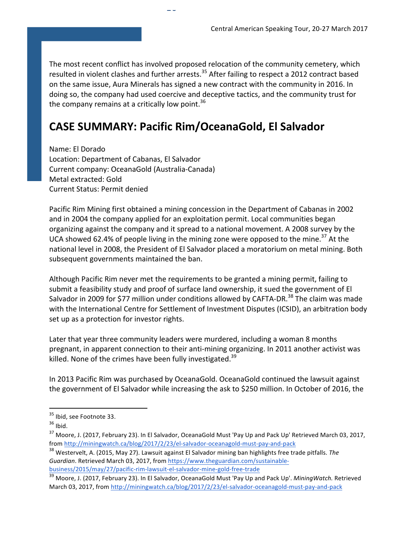The most recent conflict has involved proposed relocation of the community cemetery, which resulted in violent clashes and further arrests.<sup>35</sup> After failing to respect a 2012 contract based on the same issue, Aura Minerals has signed a new contract with the community in 2016. In doing so, the company had used coercive and deceptive tactics, and the community trust for the company remains at a critically low point.<sup>36</sup>

# **CASE SUMMARY: Pacific Rim/OceanaGold, El Salvador**

 $\ddotsc$ 

Name: El Dorado Location: Department of Cabanas, El Salvador Current company: OceanaGold (Australia-Canada) Metal extracted: Gold Current Status: Permit denied

Pacific Rim Mining first obtained a mining concession in the Department of Cabanas in 2002 and in 2004 the company applied for an exploitation permit. Local communities began organizing against the company and it spread to a national movement. A 2008 survey by the UCA showed 62.4% of people living in the mining zone were opposed to the mine.<sup>37</sup> At the national level in 2008, the President of El Salvador placed a moratorium on metal mining. Both subsequent governments maintained the ban.

Although Pacific Rim never met the requirements to be granted a mining permit, failing to submit a feasibility study and proof of surface land ownership, it sued the government of El Salvador in 2009 for \$77 million under conditions allowed by CAFTA-DR.<sup>38</sup> The claim was made with the International Centre for Settlement of Investment Disputes (ICSID), an arbitration body set up as a protection for investor rights.

Later that year three community leaders were murdered, including a woman 8 months pregnant, in apparent connection to their anti-mining organizing. In 2011 another activist was killed. None of the crimes have been fully investigated.<sup>39</sup>

In 2013 Pacific Rim was purchased by OceanaGold. OceanaGold continued the lawsuit against the government of El Salvador while increasing the ask to \$250 million. In October of 2016, the

 $35$  Ibid, see Footnote 33.

 $36$  Ibid.

 $37$  Moore, J. (2017, February 23). In El Salvador, OceanaGold Must 'Pay Up and Pack Up' Retrieved March 03, 2017, from http://miningwatch.ca/blog/2017/2/23/el-salvador-oceanagold-must-pay-and-pack

<sup>&</sup>lt;sup>38</sup> Westervelt, A. (2015, May 27). Lawsuit against El Salvador mining ban highlights free trade pitfalls. The Guardian. Retrieved March 03, 2017, from https://www.theguardian.com/sustainablebusiness/2015/may/27/pacific-rim-lawsuit-el-salvador-mine-gold-free-trade 

<sup>&</sup>lt;sup>39</sup> Moore, J. (2017, February 23). In El Salvador, OceanaGold Must 'Pay Up and Pack Up'. *MiningWatch.* Retrieved March 03, 2017, from http://miningwatch.ca/blog/2017/2/23/el-salvador-oceanagold-must-pay-and-pack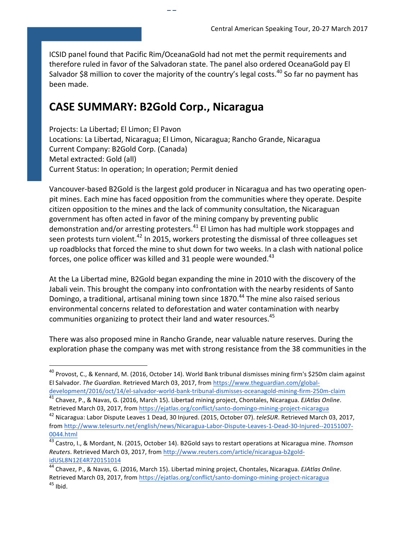ICSID panel found that Pacific Rim/OceanaGold had not met the permit requirements and therefore ruled in favor of the Salvadoran state. The panel also ordered OceanaGold pay El Salvador \$8 million to cover the majority of the country's legal costs.<sup>40</sup> So far no payment has been made.

# **CASE SUMMARY: B2Gold Corp., Nicaragua**

11

Projects: La Libertad; El Limon; El Pavon Locations: La Libertad, Nicaragua; El Limon, Nicaragua; Rancho Grande, Nicaragua Current Company: B2Gold Corp. (Canada) Metal extracted: Gold (all) Current Status: In operation; In operation; Permit denied

Vancouver-based B2Gold is the largest gold producer in Nicaragua and has two operating openpit mines. Each mine has faced opposition from the communities where they operate. Despite citizen opposition to the mines and the lack of community consultation, the Nicaraguan government has often acted in favor of the mining company by preventing public demonstration and/or arresting protesters. $41$  El Limon has had multiple work stoppages and seen protests turn violent.<sup>42</sup> In 2015, workers protesting the dismissal of three colleagues set up roadblocks that forced the mine to shut down for two weeks. In a clash with national police forces, one police officer was killed and 31 people were wounded. $43$ 

At the La Libertad mine, B2Gold began expanding the mine in 2010 with the discovery of the Jabali vein. This brought the company into confrontation with the nearby residents of Santo Domingo, a traditional, artisanal mining town since 1870.<sup>44</sup> The mine also raised serious environmental concerns related to deforestation and water contamination with nearby communities organizing to protect their land and water resources.<sup>45</sup>

There was also proposed mine in Rancho Grande, near valuable nature reserves. During the exploration phase the company was met with strong resistance from the 38 communities in the

 $^{40}$  Provost, C., & Kennard, M. (2016, October 14). World Bank tribunal dismisses mining firm's \$250m claim against El Salvador. The Guardian. Retrieved March 03, 2017, from https://www.theguardian.com/globaldevelopment/2016/oct/14/el-salvador-world-bank-tribunal-dismisses-oceanagold-mining-firm-250m-claim 

<sup>&</sup>lt;sup>41</sup> Chavez, P., & Navas, G. (2016, March 15). Libertad mining project, Chontales, Nicaragua. *EJAtlas Online*. Retrieved March 03, 2017, from https://ejatlas.org/conflict/santo-domingo-mining-project-nicaragua

<sup>&</sup>lt;sup>42</sup> Nicaragua: Labor Dispute Leaves 1 Dead, 30 Injured. (2015, October 07). *teleSUR*. Retrieved March 03, 2017. from http://www.telesurtv.net/english/news/Nicaragua-Labor-Dispute-Leaves-1-Dead-30-Injured--20151007- 0044.html 

 $\frac{43}{13}$  Castro, I., & Mordant, N. (2015, October 14). B2Gold says to restart operations at Nicaragua mine. Thomson Reuters. Retrieved March 03, 2017, from http://www.reuters.com/article/nicaragua-b2goldidUSL8N12E4R720151014 

<sup>&</sup>lt;sup>44</sup> Chavez, P., & Navas, G. (2016, March 15). Libertad mining project, Chontales, Nicaragua. *EJAtlas Online*. Retrieved March 03, 2017, from https://ejatlas.org/conflict/santo-domingo-mining-project-nicaragua  $45$  Ibid.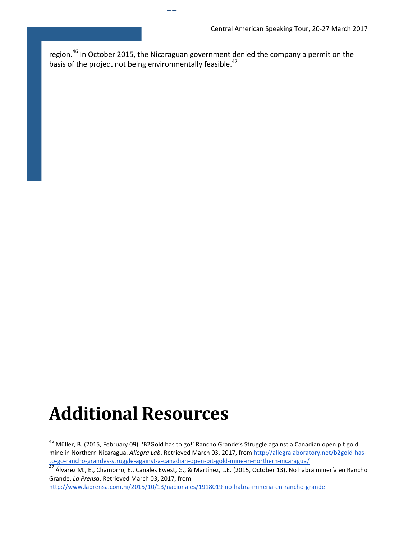region. $^{46}$  In October 2015, the Nicaraguan government denied the company a permit on the basis of the project not being environmentally feasible.<sup>47</sup>

12

# **Additional Resources**

 

http://www.laprensa.com.ni/2015/10/13/nacionales/1918019-no-habra-mineria-en-rancho-grande 

<sup>&</sup>lt;sup>46</sup> Müller, B. (2015, February 09). 'B2Gold has to go!' Rancho Grande's Struggle against a Canadian open pit gold mine in Northern Nicaragua. Allegra Lab. Retrieved March 03, 2017, from http://allegralaboratory.net/b2gold-hasto-go-rancho-grandes-struggle-against-a-canadian-open-pit-gold-mine-in-northern-nicaragua/ 

 $\frac{47}{1}$  Álvarez M., E., Chamorro, E., Canales Ewest, G., & Martínez, L.E. (2015, October 13). No habrá minería en Rancho Grande. *La Prensa*. Retrieved March 03, 2017, from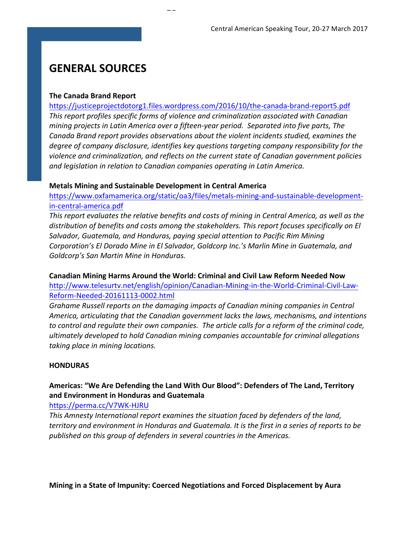# **GENERAL SOURCES**

#### **The Canada Brand Report**

https://justiceprojectdotorg1.files.wordpress.com/2016/10/the-canada-brand-report5.pdf This report profiles specific forms of violence and criminalization associated with Canadian *mining projects in Latin America over a fifteen-year period. Separated into five parts, The* Canada Brand report provides observations about the violent incidents studied, examines the degree of company disclosure, identifies key questions targeting company responsibility for the *violence and criminalization, and reflects on the current state of Canadian government policies and legislation in relation to Canadian companies operating in Latin America.* 

#### **Metals Mining and Sustainable Development in Central America**

 $15$ 

https://www.oxfamamerica.org/static/oa3/files/metals-mining-and-sustainable-developmentin-central-america.pdf

*This report evaluates the relative benefits and costs of mining in Central America, as well as the* distribution of benefits and costs among the stakeholders. This report focuses specifically on El Salvador, Guatemala, and Honduras, paying special attention to Pacific Rim Mining *Corporation's El Dorado Mine in El Salvador, Goldcorp Inc.'s Marlin Mine in Guatemala, and* Goldcorp's San Martin Mine in Honduras.

**Canadian Mining Harms Around the World: Criminal and Civil Law Reform Needed Now** http://www.telesurtv.net/english/opinion/Canadian-Mining-in-the-World-Criminal-Civil-Law-

Reform-Needed-20161113-0002.html

Grahame Russell reports on the damaging impacts of Canadian mining companies in Central America, articulating that the Canadian government lacks the laws, mechanisms, and intentions to control and regulate their own companies. The article calls for a reform of the criminal code, *ultimately developed to hold Canadian mining companies accountable for criminal allegations taking place in mining locations.* 

#### **HONDURAS**

# Americas: "We Are Defending the Land With Our Blood": Defenders of The Land, Territory **and Environment in Honduras and Guatemala**

https://perma.cc/V7WK-HJRU

This Amnesty International report examines the situation faced by defenders of the land, *territory* and environment in Honduras and Guatemala. It is the first in a series of reports to be published on this group of defenders in several countries in the Americas.

**Mining in a State of Impunity: Coerced Negotiations and Forced Displacement by Aura**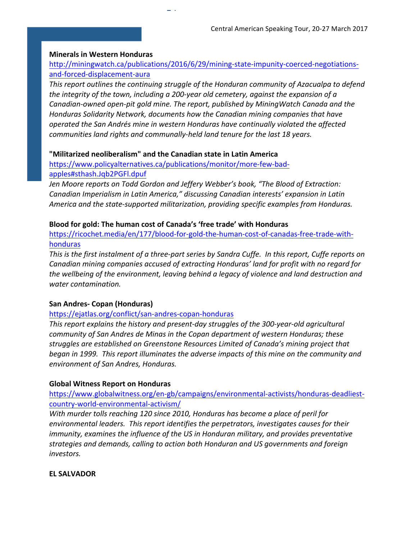#### **Minerals in Western Honduras**

## http://miningwatch.ca/publications/2016/6/29/mining-state-impunity-coerced-negotiationsand-forced-displacement-aura

This report outlines the continuing struggle of the Honduran community of Azacualpa to defend *the integrity of the town, including a 200-year old cemetery, against the expansion of a* Canadian-owned open-pit gold mine. The report, published by MiningWatch Canada and the *Honduras Solidarity Network, documents how the Canadian mining companies that have operated the San Andrés mine in western Honduras have continually violated the affected communities land rights and communally-held land tenure for the last 18 years.* 

#### **"Militarized neoliberalism" and the Canadian state in Latin America**

https://www.policyalternatives.ca/publications/monitor/more-few-badapples#sthash.Jqb2PGFl.dpuf

14

Jen Moore reports on Todd Gordon and Jeffery Webber's book, "The Blood of Extraction: Canadian Imperialism in Latin America," discussing Canadian interests' expansion in Latin America and the state-supported militarization, providing specific examples from Honduras.

#### Blood for gold: The human cost of Canada's 'free trade' with Honduras

https://ricochet.media/en/177/blood-for-gold-the-human-cost-of-canadas-free-trade-withhonduras

*This* is the first instalment of a three-part series by Sandra Cuffe. In this report, Cuffe reports on Canadian mining companies accused of extracting Honduras' land for profit with no regard for the wellbeing of the environment, leaving behind a legacy of violence and land destruction and *water contamination.* 

#### **San Andres- Copan (Honduras)**

#### https://ejatlas.org/conflict/san-andres-copan-honduras

This report explains the history and present-day struggles of the 300-year-old agricultural *community of San Andres de Minas in the Copan department of western Honduras; these* struggles are established on Greenstone Resources Limited of Canada's mining project that *began* in 1999. This report illuminates the adverse impacts of this mine on the community and *environment of San Andres, Honduras.* 

#### **Global Witness Report on Honduras**

https://www.globalwitness.org/en-gb/campaigns/environmental-activists/honduras-deadliestcountry-world-environmental-activism/

*With* murder tolls reaching 120 since 2010, Honduras has become a place of peril for environmental leaders. This report identifies the perpetrators, investigates causes for their *immunity, examines the influence of the US in Honduran military, and provides preventative* strategies and demands, calling to action both Honduran and US governments and foreign *investors.* 

#### **EL SALVADOR**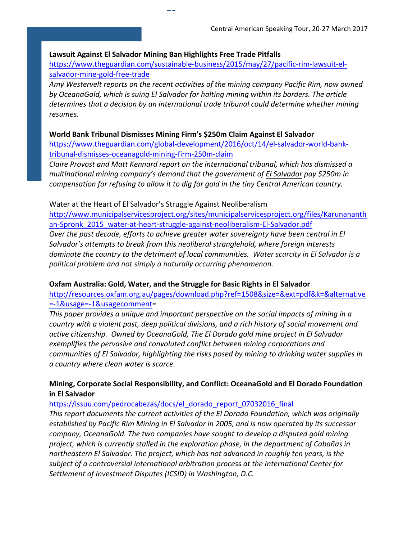#### Lawsuit Against El Salvador Mining Ban Highlights Free Trade Pitfalls

 $\overline{a}$ 

https://www.theguardian.com/sustainable-business/2015/may/27/pacific-rim-lawsuit-elsalvador-mine-gold-free-trade

Amy Westervelt reports on the recent activities of the mining company Pacific Rim, now owned by OceanaGold, which is suing El Salvador for halting mining within its borders. The article *determines that a decision by an international trade tribunal could determine whether mining resumes.*

#### World Bank Tribunal Dismisses Mining Firm's \$250m Claim Against El Salvador

https://www.theguardian.com/global-development/2016/oct/14/el-salvador-world-banktribunal-dismisses-oceanagold-mining-firm-250m-claim

*Claire Provost and Matt Kennard report on the international tribunal, which has dismissed a multinational mining company's demand that the government of El Salvador pay \$250m in compensation for refusing to allow it to dig for gold in the tiny Central American country.* 

#### Water at the Heart of El Salvador's Struggle Against Neoliberalism

http://www.municipalservicesproject.org/sites/municipalservicesproject.org/files/Karunananth an-Spronk\_2015\_water-at-heart-struggle-against-neoliberalism-El-Salvador.pdf *Over* the past decade, efforts to achieve greater water sovereignty have been central in El Salvador's attempts to break from this neoliberal stranglehold, where foreign interests *dominate the country to the detriment of local communities. Water scarcity in El Salvador is a* political problem and not simply a naturally occurring phenomenon.

#### **Oxfam Australia: Gold, Water, and the Struggle for Basic Rights in El Salvador**

http://resources.oxfam.org.au/pages/download.php?ref=1508&size=&ext=pdf&k=&alternative =-1&usage=-1&usagecomment=

This paper provides a unique and important perspective on the social impacts of mining in a *country* with a violent past, deep political divisions, and a rich history of social movement and active citizenship. Owned by OceanaGold, The El Dorado gold mine project in El Salvador exemplifies the pervasive and convoluted conflict between mining corporations and *communities of El Salvador, highlighting the risks posed by mining to drinking water supplies in a country where clean water is scarce.*

#### Mining, Corporate Social Responsibility, and Conflict: OceanaGold and El Dorado Foundation **in El Salvador**

https://issuu.com/pedrocabezas/docs/el\_dorado\_report\_07032016\_final

This report documents the current activities of the El Dorado Foundation, which was originally established by Pacific Rim Mining in El Salvador in 2005, and is now operated by its successor *company, OceanaGold. The two companies have sought to develop a disputed gold mining* project, which is currently stalled in the exploration phase, in the department of Cabañas in *northeastern* El Salvador. The project, which has not advanced in roughly ten years, is the subject of a controversial international arbitration process at the International Center for Settlement of Investment Disputes (ICSID) in Washington, D.C.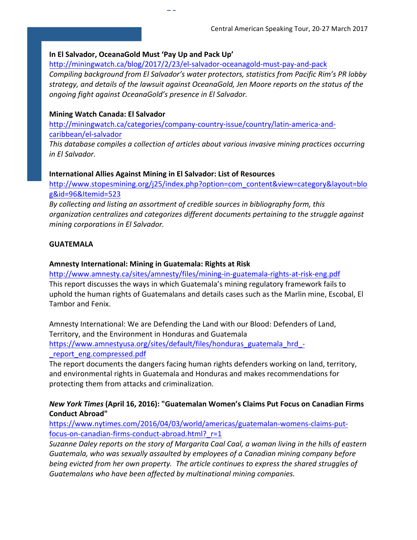#### In El Salvador, OceanaGold Must 'Pay Up and Pack Up'

http://miningwatch.ca/blog/2017/2/23/el-salvador-oceanagold-must-pay-and-pack

 $\overline{a}$ 

*Compiling background from El Salvador's water protectors, statistics from Pacific Rim's PR lobby* strategy, and details of the lawsuit against OceanaGold, Jen Moore reports on the status of the *ongoing fight against OceanaGold's presence in El Salvador.* 

#### **Mining Watch Canada: El Salvador**

http://miningwatch.ca/categories/company-country-issue/country/latin-america-andcaribbean/el-salvador

*This database compiles a collection of articles about various invasive mining practices occurring in El Salvador.*

#### **International Allies Against Mining in El Salvador: List of Resources**

http://www.stopesmining.org/j25/index.php?option=com\_content&view=category&layout=blo g&id=96&Itemid=523

By collecting and listing an assortment of credible sources in bibliography form, this organization centralizes and categorizes different documents pertaining to the struggle against *mining corporations in El Salvador.* 

#### **GUATEMALA**

#### Amnesty International: Mining in Guatemala: Rights at Risk

http://www.amnesty.ca/sites/amnesty/files/mining-in-guatemala-rights-at-risk-eng.pdf This report discusses the ways in which Guatemala's mining regulatory framework fails to uphold the human rights of Guatemalans and details cases such as the Marlin mine, Escobal, El Tambor and Fenix.

Amnesty International: We are Defending the Land with our Blood: Defenders of Land, Territory, and the Environment in Honduras and Guatemala https://www.amnestyusa.org/sites/default/files/honduras\_guatemala\_hrd\_- \_report\_eng.compressed.pdf

The report documents the dangers facing human rights defenders working on land, territory, and environmental rights in Guatemala and Honduras and makes recommendations for protecting them from attacks and criminalization.

### **New York Times (April 16, 2016): "Guatemalan Women's Claims Put Focus on Canadian Firms Conduct Abroad"**

https://www.nytimes.com/2016/04/03/world/americas/guatemalan-womens-claims-putfocus-on-canadian-firms-conduct-abroad.html?\_r=1

Suzanne Daley reports on the story of Margarita Caal Caal, a woman living in the hills of eastern Guatemala, who was sexually assaulted by employees of a Canadian mining company before *being evicted from her own property. The article continues to express the shared struggles of* Guatemalans who have been affected by multinational mining companies.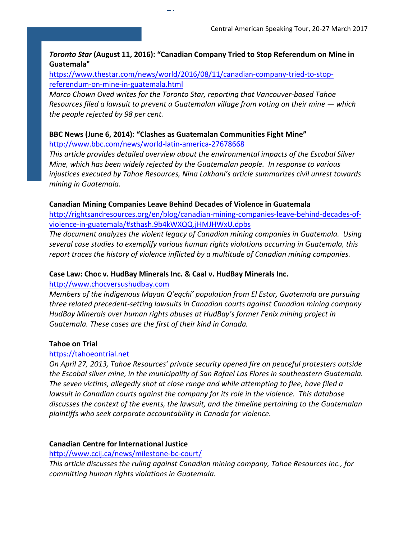#### **Toronto Star (August 11, 2016): "Canadian Company Tried to Stop Referendum on Mine in Guatemala"**

https://www.thestar.com/news/world/2016/08/11/canadian-company-tried-to-stopreferendum-on-mine-in-guatemala.html

*Marco Chown Oved writes for the Toronto Star, reporting that Vancouver-based Tahoe Resources filed a lawsuit to prevent a Guatemalan village from voting on their mine* — *which the people rejected by 98 per cent.* 

#### BBC News (June 6, 2014): "Clashes as Guatemalan Communities Fight Mine" http://www.bbc.com/news/world-latin-america-27678668

47

This article provides detailed overview about the environmental impacts of the Escobal Silver *Mine, which has been widely rejected by the Guatemalan people. In response to various injustices* executed by Tahoe Resources, Nina Lakhani's article summarizes civil unrest towards *mining in Guatemala.* 

#### **Canadian Mining Companies Leave Behind Decades of Violence in Guatemala**

http://rightsandresources.org/en/blog/canadian-mining-companies-leave-behind-decades-ofviolence-in-guatemala/#sthash.9b4kWXQQ.jHMJHWxU.dpbs

The document analyzes the violent legacy of Canadian mining companies in Guatemala. Using several case studies to exemplify various human rights violations occurring in Guatemala, this report traces the history of violence inflicted by a multitude of Canadian mining companies.

#### Case Law: Choc v. HudBay Minerals Inc. & Caal v. HudBay Minerals Inc.

#### http://www.chocversushudbay.com

*Members of the indigenous Mayan Q'eqchi' population from El Estor, Guatemala are pursuing three related precedent-setting lawsuits in Canadian courts against Canadian mining company HudBay Minerals over human rights abuses at HudBay's former Fenix mining project in* Guatemala. These cases are the first of their kind in Canada.

#### **Tahoe on Trial**

#### https://tahoeontrial.net

*On* April 27, 2013, Tahoe Resources' private security opened fire on peaceful protesters outside *the Escobal silver mine, in the municipality of San Rafael Las Flores in southeastern Guatemala.* The seven victims, allegedly shot at close range and while attempting to flee, have filed a *lawsuit in Canadian courts against the company for its role in the violence. This database* discusses the context of the events, the lawsuit, and the timeline pertaining to the Guatemalan plaintiffs who seek corporate accountability in Canada for violence.

#### **Canadian Centre for International Justice**

#### http://www.ccij.ca/news/milestone-bc-court/

This article discusses the ruling against Canadian mining company, Tahoe Resources Inc., for *committing human rights violations in Guatemala.*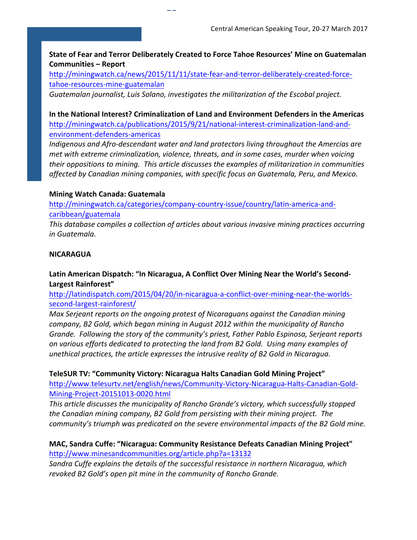State of Fear and Terror Deliberately Created to Force Tahoe Resources' Mine on Guatemalan **Communities – Report**

http://miningwatch.ca/news/2015/11/11/state-fear-and-terror-deliberately-created-forcetahoe-resources-mine-guatemalan

Guatemalan journalist, Luis Solano, investigates the militarization of the Escobal project.

 $16$ 

In the National Interest? Criminalization of Land and Environment Defenders in the Americas http://miningwatch.ca/publications/2015/9/21/national-interest-criminalization-land-andenvironment-defenders-americas

*Indigenous and Afro-descendant water and land protectors living throughout the Amercias are met with extreme criminalization, violence, threats, and in some cases, murder when voicing their* oppositions to mining. This article discusses the examples of militarization in communities *affected by Canadian mining companies, with specific focus on Guatemala, Peru, and Mexico.* 

#### **Mining Watch Canada: Guatemala**

http://miningwatch.ca/categories/company-country-issue/country/latin-america-andcaribbean/guatemala

This database compiles a collection of articles about various invasive mining practices occurring *in Guatemala.*

#### **NICARAGUA**

### Latin American Dispatch: "In Nicaragua, A Conflict Over Mining Near the World's Second-**Largest Rainforest"**

http://latindispatch.com/2015/04/20/in-nicaragua-a-conflict-over-mining-near-the-worldssecond-largest-rainforest/

*Max Serjeant reports on the ongoing protest of Nicaraguans against the Canadian mining company, B2 Gold, which began mining in August 2012 within the municipality of Rancho* Grande. Following the story of the community's priest, Father Pablo Espinosa, Serjeant reports on various efforts dedicated to protecting the land from B2 Gold. Using many examples of unethical practices, the article expresses the intrusive reality of B2 Gold in Nicaragua.

**TeleSUR TV: "Community Victory: Nicaragua Halts Canadian Gold Mining Project"** http://www.telesurtv.net/english/news/Community-Victory-Nicaragua-Halts-Canadian-Gold-

#### Mining-Project-20151013-0020.html

This article discusses the municipality of Rancho Grande's victory, which successfully stopped *the Canadian mining company, B2 Gold from persisting with their mining project. The community's triumph was predicated on the severe environmental impacts of the B2 Gold mine.* 

#### **MAC, Sandra Cuffe: "Nicaragua: Community Resistance Defeats Canadian Mining Project"** http://www.minesandcommunities.org/article.php?a=13132

Sandra Cuffe explains the details of the successful resistance in northern Nicaragua, which revoked B2 Gold's open pit mine in the community of Rancho Grande.